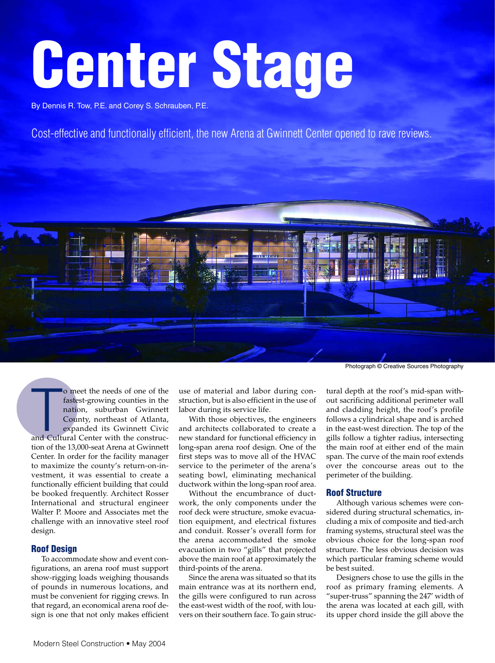# **Center Stage**

By Dennis R. Tow, P.E. and Corey S. Schrauben, P.E.

Cost-effective and functionally efficient, the new Arena at Gwinnett Center opened to rave reviews.



o meet the needs of one of the<br>fastest-growing counties in the<br>nation, suburban Gwinnett<br>County, northeast of Atlanta,<br>expanded its Gwinnett Civic<br>and Cultural Center with the construco meet the needs of one of the fastest-growing counties in the nation, suburban Gwinnett County, northeast of Atlanta, expanded its Gwinnett Civic tion of the 13,000-seat Arena at Gwinnett Center. In order for the facility manager to maximize the county's return-on-investment, it was essential to create a functionally efficient building that could be booked frequently. Architect Rosser International and structural engineer Walter P. Moore and Associates met the challenge with an innovative steel roof design.

# **Roof Design**

To accommodate show and event configurations, an arena roof must support show-rigging loads weighing thousands of pounds in numerous locations, and must be convenient for rigging crews. In that regard, an economical arena roof design is one that not only makes efficient

use of material and labor during construction, but is also efficient in the use of labor during its service life.

With those objectives, the engineers and architects collaborated to create a new standard for functional efficiency in long-span arena roof design. One of the first steps was to move all of the HVAC service to the perimeter of the arena's seating bowl, eliminating mechanical ductwork within the long-span roof area.

Without the encumbrance of ductwork, the only components under the roof deck were structure, smoke evacuation equipment, and electrical fixtures and conduit. Rosser's overall form for the arena accommodated the smoke evacuation in two "gills" that projected above the main roof at approximately the third-points of the arena.

Since the arena was situated so that its main entrance was at its northern end, the gills were configured to run across the east-west width of the roof, with louvers on their southern face. To gain struc-

tural depth at the roof's mid-span without sacrificing additional perimeter wall and cladding height, the roof's profile follows a cylindrical shape and is arched in the east-west direction. The top of the gills follow a tighter radius, intersecting the main roof at either end of the main span. The curve of the main roof extends over the concourse areas out to the perimeter of the building.

# **Roof Structure**

Although various schemes were considered during structural schematics, including a mix of composite and tied-arch framing systems, structural steel was the obvious choice for the long-span roof structure. The less obvious decision was which particular framing scheme would be best suited.

Designers chose to use the gills in the roof as primary framing elements. A "super-truss" spanning the 247' width of the arena was located at each gill, with its upper chord inside the gill above the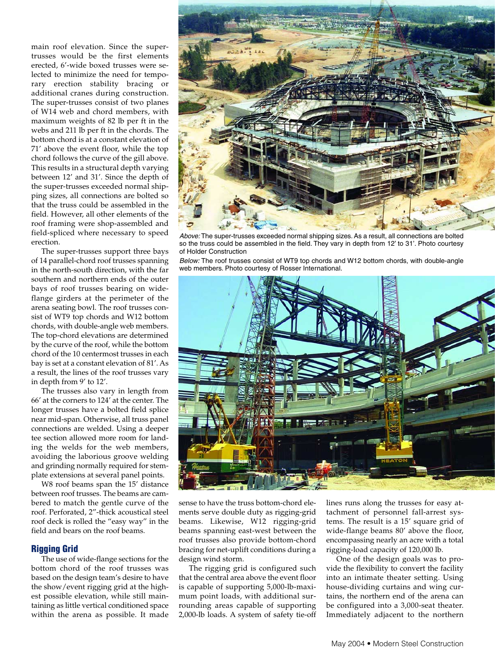main roof elevation. Since the supertrusses would be the first elements erected, 6'-wide boxed trusses were selected to minimize the need for temporary erection stability bracing or additional cranes during construction. The super-trusses consist of two planes of W14 web and chord members, with maximum weights of 82 lb per ft in the webs and 211 lb per ft in the chords. The bottom chord is at a constant elevation of 71' above the event floor, while the top chord follows the curve of the gill above. This results in a structural depth varying between 12' and 31'. Since the depth of the super-trusses exceeded normal shipping sizes, all connections are bolted so that the truss could be assembled in the field. However, all other elements of the roof framing were shop-assembled and field-spliced where necessary to speed erection.

The super-trusses support three bays of 14 parallel-chord roof trusses spanning in the north-south direction, with the far southern and northern ends of the outer bays of roof trusses bearing on wideflange girders at the perimeter of the arena seating bowl. The roof trusses consist of WT9 top chords and W12 bottom chords, with double-angle web members. The top-chord elevations are determined by the curve of the roof, while the bottom chord of the 10 centermost trusses in each bay is set at a constant elevation of 81'. As a result, the lines of the roof trusses vary in depth from 9' to 12'.

The trusses also vary in length from 66' at the corners to 124' at the center. The longer trusses have a bolted field splice near mid-span. Otherwise, all truss panel connections are welded. Using a deeper tee section allowed more room for landing the welds for the web members, avoiding the laborious groove welding and grinding normally required for stemplate extensions at several panel points.

W8 roof beams span the 15' distance between roof trusses. The beams are cambered to match the gentle curve of the roof. Perforated, 2"-thick acoustical steel roof deck is rolled the "easy way" in the field and bears on the roof beams.

# **Rigging Grid**

The use of wide-flange sections for the bottom chord of the roof trusses was based on the design team's desire to have the show/event rigging grid at the highest possible elevation, while still maintaining as little vertical conditioned space within the arena as possible. It made



Above: The super-trusses exceeded normal shipping sizes. As a result, all connections are bolted so the truss could be assembled in the field. They vary in depth from 12' to 31'. Photo courtesy of Holder Construction

Below: The roof trusses consist of WT9 top chords and W12 bottom chords, with double-angle web members. Photo courtesy of Rosser International.



sense to have the truss bottom-chord elements serve double duty as rigging-grid beams. Likewise, W12 rigging-grid beams spanning east-west between the roof trusses also provide bottom-chord bracing for net-uplift conditions during a design wind storm.

The rigging grid is configured such that the central area above the event floor is capable of supporting 5,000-lb-maximum point loads, with additional surrounding areas capable of supporting 2,000-lb loads. A system of safety tie-off lines runs along the trusses for easy attachment of personnel fall-arrest systems. The result is a 15' square grid of wide-flange beams 80' above the floor, encompassing nearly an acre with a total rigging-load capacity of 120,000 lb.

One of the design goals was to provide the flexibility to convert the facility into an intimate theater setting. Using house-dividing curtains and wing curtains, the northern end of the arena can be configured into a 3,000-seat theater. Immediately adjacent to the northern